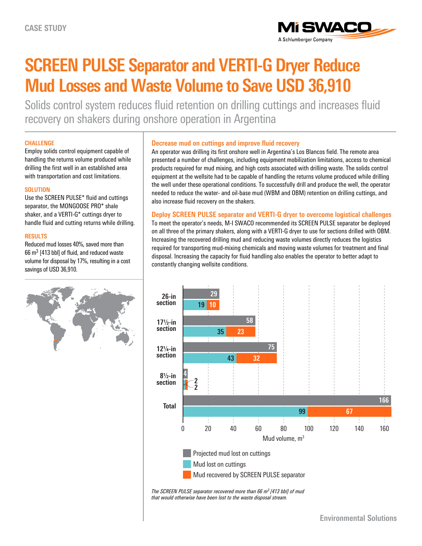

# **SCREEN PULSE Separator and VERTI-G Dryer Reduce Mud Losses and Waste Volume to Save USD 36,910**

Solids control system reduces fluid retention on drilling cuttings and increases fluid recovery on shakers during onshore operation in Argentina

### **CHALLENGE**

Employ solids control equipment capable of handling the returns volume produced while drilling the first well in an established area with transportation and cost limitations.

#### **SOLUTION**

Use the SCREEN PULSE\* fluid and cuttings separator, the MONGOOSE PRO\* shale shaker, and a VERTI-G\* cuttings dryer to handle fluid and cutting returns while drilling.

### **RESULTS**

Reduced mud losses 40%, saved more than 66  $m<sup>3</sup>$  [413 bbl] of fluid, and reduced waste volume for disposal by 17%, resulting in a cost savings of USD 36,910.



## **Decrease mud on cuttings and improve fluid recovery**

An operator was drilling its first onshore well in Argentina's Los Blancos field. The remote area presented a number of challenges, including equipment mobilization limitations, access to chemical products required for mud mixing, and high costs associated with drilling waste. The solids control equipment at the wellsite had to be capable of handling the returns volume produced while drilling the well under these operational conditions. To successfully drill and produce the well, the operator needed to reduce the water- and oil-base mud (WBM and OBM) retention on drilling cuttings, and also increase fluid recovery on the shakers.

**Deploy SCREEN PULSE separator and VERTI-G dryer to overcome logistical challenges** To meet the operator's needs, M-I SWACO recommended its SCREEN PULSE separator be deployed on all three of the primary shakers, along with a VERTI-G dryer to use for sections drilled with OBM. Increasing the recovered drilling mud and reducing waste volumes directly reduces the logistics required for transporting mud-mixing chemicals and moving waste volumes for treatment and final disposal. Increasing the capacity for fluid handling also enables the operator to better adapt to constantly changing wellsite conditions.



*The SCREEN PULSE separator recovered more than 66 m3 [413 bbl] of mud that would otherwise have been lost to the waste disposal stream.*